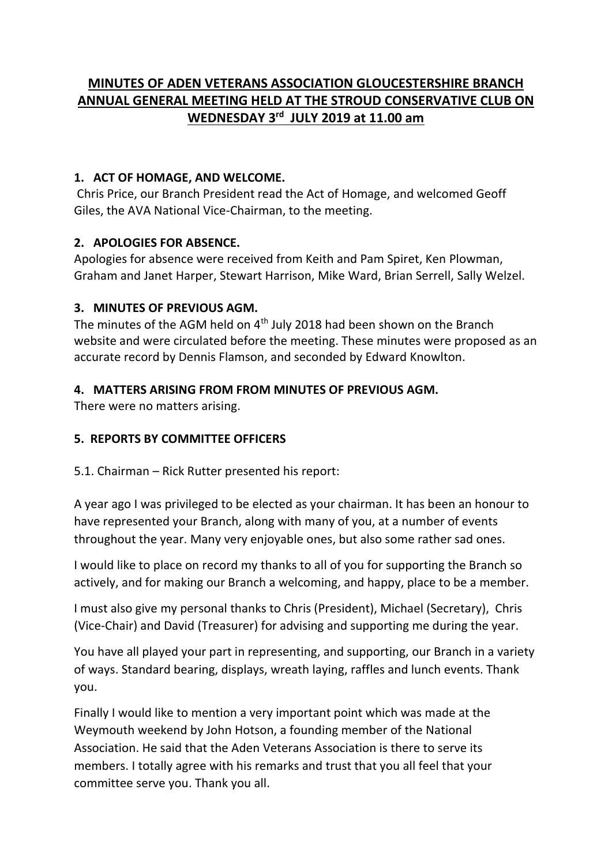# **MINUTES OF ADEN VETERANS ASSOCIATION GLOUCESTERSHIRE BRANCH ANNUAL GENERAL MEETING HELD AT THE STROUD CONSERVATIVE CLUB ON WEDNESDAY 3rd JULY 2019 at 11.00 am**

### **1. ACT OF HOMAGE, AND WELCOME.**

Chris Price, our Branch President read the Act of Homage, and welcomed Geoff Giles, the AVA National Vice-Chairman, to the meeting.

## **2. APOLOGIES FOR ABSENCE.**

Apologies for absence were received from Keith and Pam Spiret, Ken Plowman, Graham and Janet Harper, Stewart Harrison, Mike Ward, Brian Serrell, Sally Welzel.

## **3. MINUTES OF PREVIOUS AGM.**

The minutes of the AGM held on  $4<sup>th</sup>$  July 2018 had been shown on the Branch website and were circulated before the meeting. These minutes were proposed as an accurate record by Dennis Flamson, and seconded by Edward Knowlton.

## **4. MATTERS ARISING FROM FROM MINUTES OF PREVIOUS AGM.**

There were no matters arising.

### **5. REPORTS BY COMMITTEE OFFICERS**

5.1. Chairman – Rick Rutter presented his report:

A year ago I was privileged to be elected as your chairman. It has been an honour to have represented your Branch, along with many of you, at a number of events throughout the year. Many very enjoyable ones, but also some rather sad ones.

I would like to place on record my thanks to all of you for supporting the Branch so actively, and for making our Branch a welcoming, and happy, place to be a member.

I must also give my personal thanks to Chris (President), Michael (Secretary), Chris (Vice-Chair) and David (Treasurer) for advising and supporting me during the year.

You have all played your part in representing, and supporting, our Branch in a variety of ways. Standard bearing, displays, wreath laying, raffles and lunch events. Thank you.

Finally I would like to mention a very important point which was made at the Weymouth weekend by John Hotson, a founding member of the National Association. He said that the Aden Veterans Association is there to serve its members. I totally agree with his remarks and trust that you all feel that your committee serve you. Thank you all.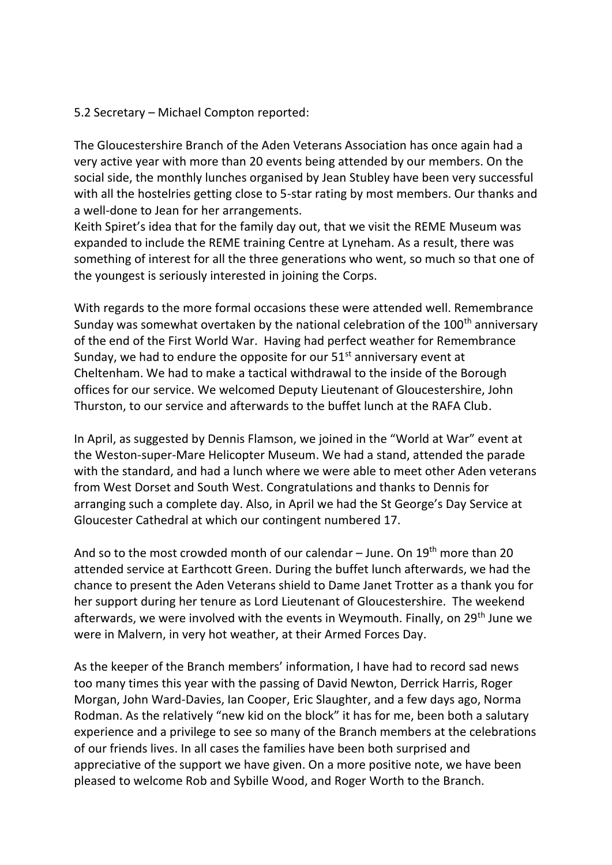#### 5.2 Secretary – Michael Compton reported:

The Gloucestershire Branch of the Aden Veterans Association has once again had a very active year with more than 20 events being attended by our members. On the social side, the monthly lunches organised by Jean Stubley have been very successful with all the hostelries getting close to 5-star rating by most members. Our thanks and a well-done to Jean for her arrangements.

Keith Spiret's idea that for the family day out, that we visit the REME Museum was expanded to include the REME training Centre at Lyneham. As a result, there was something of interest for all the three generations who went, so much so that one of the youngest is seriously interested in joining the Corps.

With regards to the more formal occasions these were attended well. Remembrance Sunday was somewhat overtaken by the national celebration of the  $100<sup>th</sup>$  anniversary of the end of the First World War. Having had perfect weather for Remembrance Sunday, we had to endure the opposite for our  $51<sup>st</sup>$  anniversary event at Cheltenham. We had to make a tactical withdrawal to the inside of the Borough offices for our service. We welcomed Deputy Lieutenant of Gloucestershire, John Thurston, to our service and afterwards to the buffet lunch at the RAFA Club.

In April, as suggested by Dennis Flamson, we joined in the "World at War" event at the Weston-super-Mare Helicopter Museum. We had a stand, attended the parade with the standard, and had a lunch where we were able to meet other Aden veterans from West Dorset and South West. Congratulations and thanks to Dennis for arranging such a complete day. Also, in April we had the St George's Day Service at Gloucester Cathedral at which our contingent numbered 17.

And so to the most crowded month of our calendar  $-$  June. On  $19<sup>th</sup>$  more than 20 attended service at Earthcott Green. During the buffet lunch afterwards, we had the chance to present the Aden Veterans shield to Dame Janet Trotter as a thank you for her support during her tenure as Lord Lieutenant of Gloucestershire. The weekend afterwards, we were involved with the events in Weymouth. Finally, on 29<sup>th</sup> June we were in Malvern, in very hot weather, at their Armed Forces Day.

As the keeper of the Branch members' information, I have had to record sad news too many times this year with the passing of David Newton, Derrick Harris, Roger Morgan, John Ward-Davies, Ian Cooper, Eric Slaughter, and a few days ago, Norma Rodman. As the relatively "new kid on the block" it has for me, been both a salutary experience and a privilege to see so many of the Branch members at the celebrations of our friends lives. In all cases the families have been both surprised and appreciative of the support we have given. On a more positive note, we have been pleased to welcome Rob and Sybille Wood, and Roger Worth to the Branch.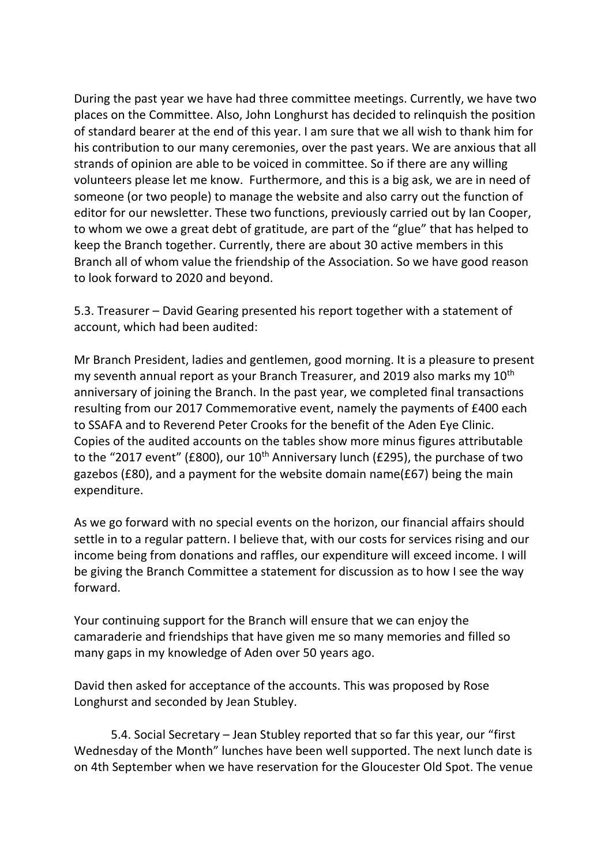During the past year we have had three committee meetings. Currently, we have two places on the Committee. Also, John Longhurst has decided to relinquish the position of standard bearer at the end of this year. I am sure that we all wish to thank him for his contribution to our many ceremonies, over the past years. We are anxious that all strands of opinion are able to be voiced in committee. So if there are any willing volunteers please let me know. Furthermore, and this is a big ask, we are in need of someone (or two people) to manage the website and also carry out the function of editor for our newsletter. These two functions, previously carried out by Ian Cooper, to whom we owe a great debt of gratitude, are part of the "glue" that has helped to keep the Branch together. Currently, there are about 30 active members in this Branch all of whom value the friendship of the Association. So we have good reason to look forward to 2020 and beyond.

5.3. Treasurer – David Gearing presented his report together with a statement of account, which had been audited:

Mr Branch President, ladies and gentlemen, good morning. It is a pleasure to present my seventh annual report as your Branch Treasurer, and 2019 also marks my 10<sup>th</sup> anniversary of joining the Branch. In the past year, we completed final transactions resulting from our 2017 Commemorative event, namely the payments of £400 each to SSAFA and to Reverend Peter Crooks for the benefit of the Aden Eye Clinic. Copies of the audited accounts on the tables show more minus figures attributable to the "2017 event" (£800), our  $10^{th}$  Anniversary lunch (£295), the purchase of two gazebos (£80), and a payment for the website domain name(£67) being the main expenditure.

As we go forward with no special events on the horizon, our financial affairs should settle in to a regular pattern. I believe that, with our costs for services rising and our income being from donations and raffles, our expenditure will exceed income. I will be giving the Branch Committee a statement for discussion as to how I see the way forward.

Your continuing support for the Branch will ensure that we can enjoy the camaraderie and friendships that have given me so many memories and filled so many gaps in my knowledge of Aden over 50 years ago.

David then asked for acceptance of the accounts. This was proposed by Rose Longhurst and seconded by Jean Stubley.

5.4. Social Secretary – Jean Stubley reported that so far this year, our "first Wednesday of the Month" lunches have been well supported. The next lunch date is on 4th September when we have reservation for the Gloucester Old Spot. The venue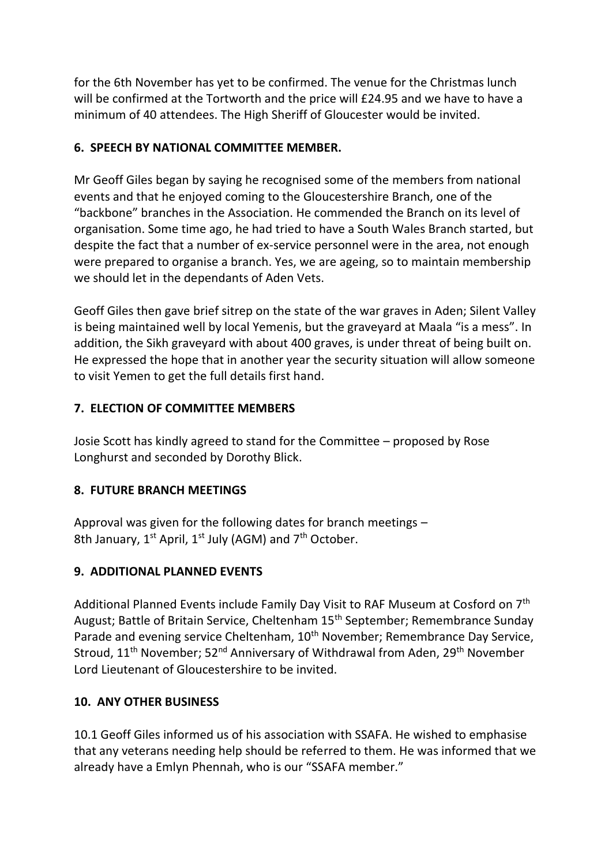for the 6th November has yet to be confirmed. The venue for the Christmas lunch will be confirmed at the Tortworth and the price will £24.95 and we have to have a minimum of 40 attendees. The High Sheriff of Gloucester would be invited.

# **6. SPEECH BY NATIONAL COMMITTEE MEMBER.**

Mr Geoff Giles began by saying he recognised some of the members from national events and that he enjoyed coming to the Gloucestershire Branch, one of the "backbone" branches in the Association. He commended the Branch on its level of organisation. Some time ago, he had tried to have a South Wales Branch started, but despite the fact that a number of ex-service personnel were in the area, not enough were prepared to organise a branch. Yes, we are ageing, so to maintain membership we should let in the dependants of Aden Vets.

Geoff Giles then gave brief sitrep on the state of the war graves in Aden; Silent Valley is being maintained well by local Yemenis, but the graveyard at Maala "is a mess". In addition, the Sikh graveyard with about 400 graves, is under threat of being built on. He expressed the hope that in another year the security situation will allow someone to visit Yemen to get the full details first hand.

## **7. ELECTION OF COMMITTEE MEMBERS**

Josie Scott has kindly agreed to stand for the Committee – proposed by Rose Longhurst and seconded by Dorothy Blick.

### **8. FUTURE BRANCH MEETINGS**

Approval was given for the following dates for branch meetings – 8th January,  $1^{st}$  April,  $1^{st}$  July (AGM) and  $7^{th}$  October.

# **9. ADDITIONAL PLANNED EVENTS**

Additional Planned Events include Family Day Visit to RAF Museum at Cosford on 7th August; Battle of Britain Service, Cheltenham 15<sup>th</sup> September; Remembrance Sunday Parade and evening service Cheltenham, 10<sup>th</sup> November; Remembrance Day Service, Stroud, 11<sup>th</sup> November; 52<sup>nd</sup> Anniversary of Withdrawal from Aden, 29<sup>th</sup> November Lord Lieutenant of Gloucestershire to be invited.

### **10. ANY OTHER BUSINESS**

10.1 Geoff Giles informed us of his association with SSAFA. He wished to emphasise that any veterans needing help should be referred to them. He was informed that we already have a Emlyn Phennah, who is our "SSAFA member."